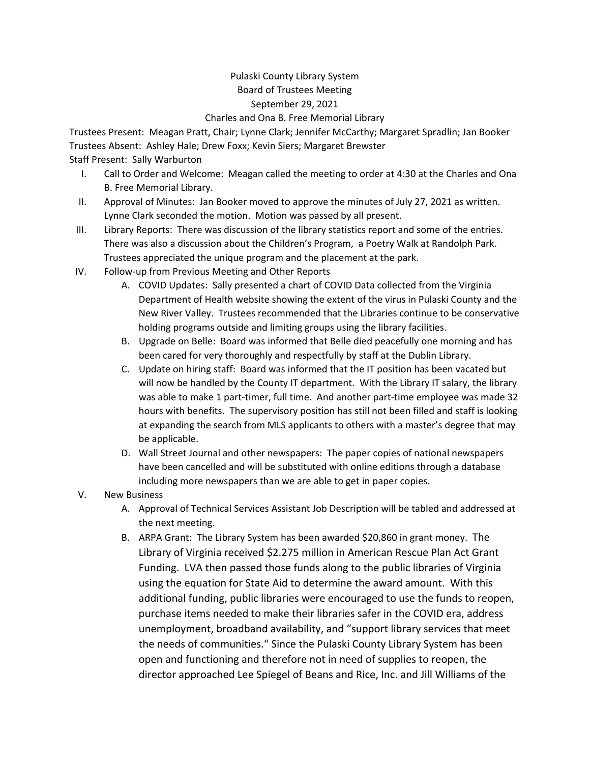## Pulaski County Library System Board of Trustees Meeting September 29, 2021

Charles and Ona B. Free Memorial Library

Trustees Present: Meagan Pratt, Chair; Lynne Clark; Jennifer McCarthy; Margaret Spradlin; Jan Booker Trustees Absent: Ashley Hale; Drew Foxx; Kevin Siers; Margaret Brewster Staff Present: Sally Warburton

- I. Call to Order and Welcome: Meagan called the meeting to order at 4:30 at the Charles and Ona B. Free Memorial Library.
- II. Approval of Minutes: Jan Booker moved to approve the minutes of July 27, 2021 as written. Lynne Clark seconded the motion. Motion was passed by all present.
- III. Library Reports: There was discussion of the library statistics report and some of the entries. There was also a discussion about the Children's Program, a Poetry Walk at Randolph Park. Trustees appreciated the unique program and the placement at the park.
- IV. Follow-up from Previous Meeting and Other Reports
	- A. COVID Updates: Sally presented a chart of COVID Data collected from the Virginia Department of Health website showing the extent of the virus in Pulaski County and the New River Valley. Trustees recommended that the Libraries continue to be conservative holding programs outside and limiting groups using the library facilities.
	- B. Upgrade on Belle: Board was informed that Belle died peacefully one morning and has been cared for very thoroughly and respectfully by staff at the Dublin Library.
	- C. Update on hiring staff: Board was informed that the IT position has been vacated but will now be handled by the County IT department. With the Library IT salary, the library was able to make 1 part-timer, full time. And another part-time employee was made 32 hours with benefits. The supervisory position has still not been filled and staff is looking at expanding the search from MLS applicants to others with a master's degree that may be applicable.
	- D. Wall Street Journal and other newspapers: The paper copies of national newspapers have been cancelled and will be substituted with online editions through a database including more newspapers than we are able to get in paper copies.
- V. New Business
	- A. Approval of Technical Services Assistant Job Description will be tabled and addressed at the next meeting.
	- B. ARPA Grant: The Library System has been awarded \$20,860 in grant money. The Library of Virginia received \$2.275 million in American Rescue Plan Act Grant Funding. LVA then passed those funds along to the public libraries of Virginia using the equation for State Aid to determine the award amount. With this additional funding, public libraries were encouraged to use the funds to reopen, purchase items needed to make their libraries safer in the COVID era, address unemployment, broadband availability, and "support library services that meet the needs of communities." Since the Pulaski County Library System has been open and functioning and therefore not in need of supplies to reopen, the director approached Lee Spiegel of Beans and Rice, Inc. and Jill Williams of the